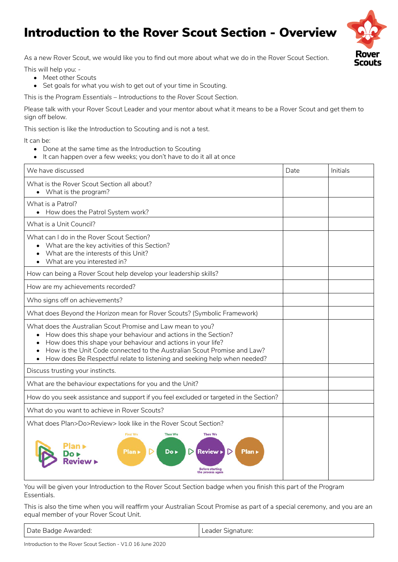## Introduction to the Rover Scout Section - Overview



As a new Rover Scout, we would like you to find out more about what we do in the Rover Scout Section.

This will help you: -

- Meet other Scouts
- Set goals for what you wish to get out of your time in Scouting.

This is the *Program Essentials – Introductions to the Rover Scout Section*.

Please talk with your Rover Scout Leader and your mentor about what it means to be a Rover Scout and get them to sign off below.

This section is like the Introduction to Scouting and is not a test.

It can be:

- Done at the same time as the Introduction to Scouting
- It can happen over a few weeks; you don't have to do it all at once

| We have discussed                                                                                                                                                                                                                                                                                                                                    | Date | Initials |
|------------------------------------------------------------------------------------------------------------------------------------------------------------------------------------------------------------------------------------------------------------------------------------------------------------------------------------------------------|------|----------|
| What is the Rover Scout Section all about?<br>• What is the program?                                                                                                                                                                                                                                                                                 |      |          |
| What is a Patrol?<br>• How does the Patrol System work?                                                                                                                                                                                                                                                                                              |      |          |
| What is a Unit Council?                                                                                                                                                                                                                                                                                                                              |      |          |
| What can I do in the Rover Scout Section?<br>• What are the key activities of this Section?<br>What are the interests of this Unit?<br>What are you interested in?                                                                                                                                                                                   |      |          |
| How can being a Rover Scout help develop your leadership skills?                                                                                                                                                                                                                                                                                     |      |          |
| How are my achievements recorded?                                                                                                                                                                                                                                                                                                                    |      |          |
| Who signs off on achievements?                                                                                                                                                                                                                                                                                                                       |      |          |
| What does Beyond the Horizon mean for Rover Scouts? (Symbolic Framework)                                                                                                                                                                                                                                                                             |      |          |
| What does the Australian Scout Promise and Law mean to you?<br>How does this shape your behaviour and actions in the Section?<br>How does this shape your behaviour and actions in your life?<br>How is the Unit Code connected to the Australian Scout Promise and Law?<br>How does Be Respectful relate to listening and seeking help when needed? |      |          |
| Discuss trusting your instincts.                                                                                                                                                                                                                                                                                                                     |      |          |
| What are the behaviour expectations for you and the Unit?                                                                                                                                                                                                                                                                                            |      |          |
| How do you seek assistance and support if you feel excluded or targeted in the Section?                                                                                                                                                                                                                                                              |      |          |
| What do you want to achieve in Rover Scouts?                                                                                                                                                                                                                                                                                                         |      |          |
| What does Plan>Do>Review> look like in the Rover Scout Section?                                                                                                                                                                                                                                                                                      |      |          |
| <b>First We</b><br><b>Then We</b><br><b>Then We</b><br>Plan ><br>Do ><br><b>Review</b><br>Plan »<br>process again                                                                                                                                                                                                                                    |      |          |

You will be given your Introduction to the Rover Scout Section badge when you finish this part of the Program Essentials.

This is also the time when you will reaffirm your Australian Scout Promise as part of a special ceremony, and you are an equal member of your Rover Scout Unit.

| Date Badge Awarded: | Leader Signature: |
|---------------------|-------------------|
|                     |                   |